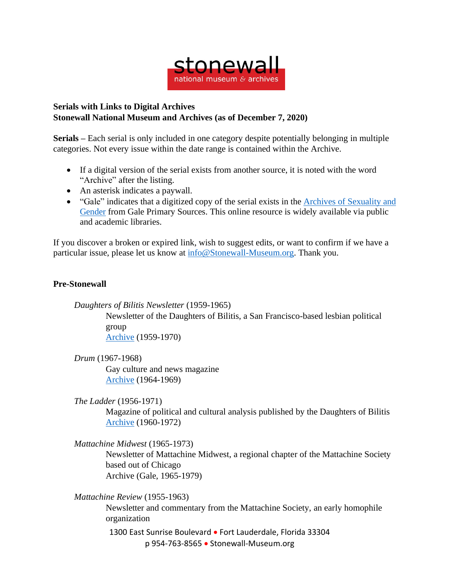

## **Serials with Links to Digital Archives Stonewall National Museum and Archives (as of December 7, 2020)**

**Serials –** Each serial is only included in one category despite potentially belonging in multiple categories. Not every issue within the date range is contained within the Archive.

- If a digital version of the serial exists from another source, it is noted with the word "Archive" after the listing.
- An asterisk indicates a paywall.
- "Gale" indicates that a digitized copy of the serial exists in the Archives of [Sexuality](https://www.gale.com/primary-sources/archives-of-sexuality-and-gender) and [Gender](https://www.gale.com/primary-sources/archives-of-sexuality-and-gender) from Gale Primary Sources. This online resource is widely available via public and academic libraries.

If you discover a broken or expired link, wish to suggest edits, or want to confirm if we have a particular issue, please let us know at [info@Stonewall-Museum.org.](mailto:info@Stonewall-Museum.org) Thank you.

## **Pre-Stonewall**

*Daughters of Bilitis Newsletter* (1959-1965)

Newsletter of the Daughters of Bilitis, a San Francisco-based lesbian political group

[Archive](https://digitalassets.lib.berkeley.edu/sfbagals/Daughters_Of_Bilitis/) (1959-1970)

*Drum* (1967-1968)

Gay culture and news magazine [Archive](http://www.houstonlgbthistory.org/assorted3.html) (1964-1969)

*The Ladder* (1956-1971)

Magazine of political and cultural analysis published by the Daughters of Bilitis [Archive](https://digitalassets.lib.berkeley.edu/sfbagals/The_Ladder/) (1960-1972)

*Mattachine Midwest* (1965-1973)

Newsletter of Mattachine Midwest, a regional chapter of the Mattachine Society based out of Chicago Archive (Gale, 1965-1979)

*Mattachine Review* (1955-1963)

Newsletter and commentary from the Mattachine Society, an early homophile organization

1300 East Sunrise Boulevard • Fort Lauderdale, Florida 33304 p 954-763-8565 • Stonewall-Museum.org